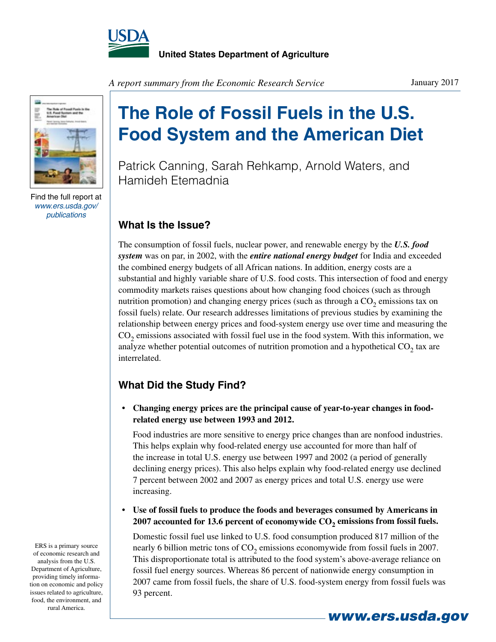



Find the full report at *www.ers.usda.gov/ publications*

*A report summary from the Economic Research Service*

# **The Role of Fossil Fuels in the U.S. Food System and the American Diet**

Patrick Canning, Sarah Rehkamp, Arnold Waters, and Hamideh Etemadnia

### **What Is the Issue?**

The consumption of fossil fuels, nuclear power, and renewable energy by the *U.S. food system* was on par, in 2002, with the *entire national energy budget* for India and exceeded the combined energy budgets of all African nations. In addition, energy costs are a substantial and highly variable share of U.S. food costs. This intersection of food and energy commodity markets raises questions about how changing food choices (such as through nutrition promotion) and changing energy prices (such as through a  $CO<sub>2</sub>$  emissions tax on fossil fuels) relate. Our research addresses limitations of previous studies by examining the relationship between energy prices and food-system energy use over time and measuring the  $CO<sub>2</sub>$  emissions associated with fossil fuel use in the food system. With this information, we analyze whether potential outcomes of nutrition promotion and a hypothetical  $CO<sub>2</sub>$  tax are interrelated.

## **What Did the Study Find?**

**• Changing energy prices are the principal cause of year-to-year changes in foodrelated energy use between 1993 and 2012.**

Food industries are more sensitive to energy price changes than are nonfood industries. This helps explain why food-related energy use accounted for more than half of the increase in total U.S. energy use between 1997 and 2002 (a period of generally declining energy prices). This also helps explain why food-related energy use declined 7 percent between 2002 and 2007 as energy prices and total U.S. energy use were increasing.

**• Use of fossil fuels to produce the foods and beverages consumed by Americans in 2007 accounted for 13.6 percent of economywide CO2 emissions from fossil fuels.**

Domestic fossil fuel use linked to U.S. food consumption produced 817 million of the nearly 6 billion metric tons of  $CO<sub>2</sub>$  emissions economywide from fossil fuels in 2007. This disproportionate total is attributed to the food system's above-average reliance on fossil fuel energy sources. Whereas 86 percent of nationwide energy consumption in 2007 came from fossil fuels, the share of U.S. food-system energy from fossil fuels was 93 percent.

ERS is a primary source of economic research and analysis from the U.S. Department of Agriculture, providing timely information on economic and policy issues related to agriculture, food, the environment, and rural America.